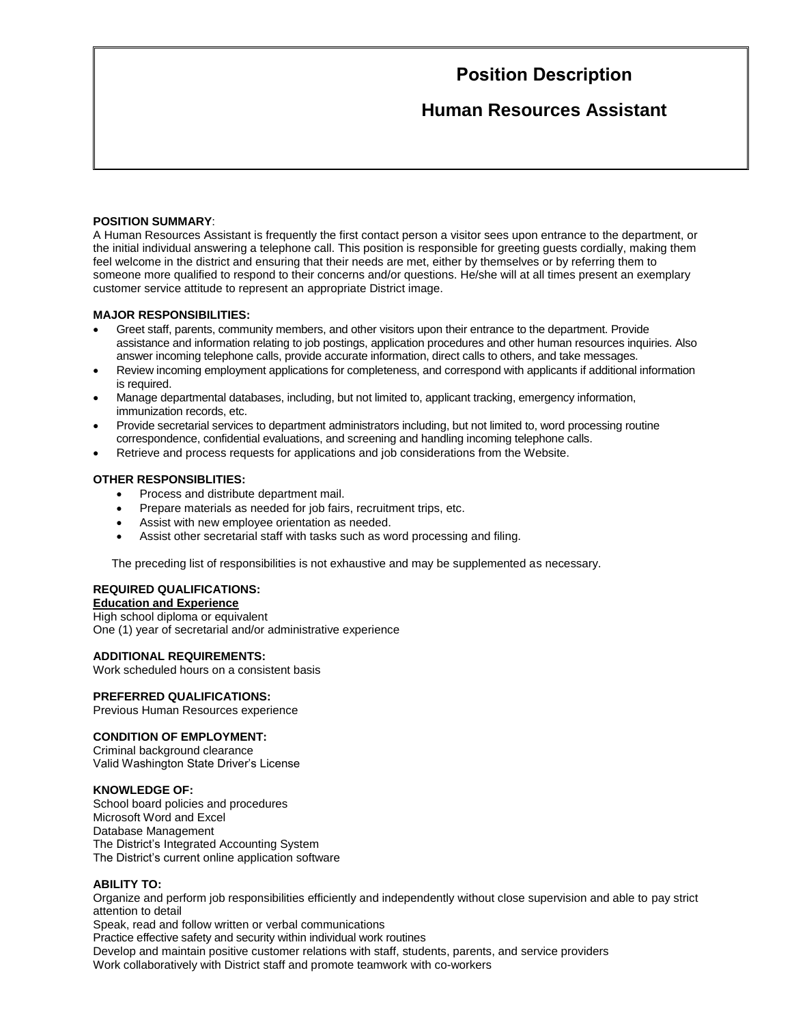# **Position Description**

## **Human Resources Assistant**

#### **POSITION SUMMARY**:

A Human Resources Assistant is frequently the first contact person a visitor sees upon entrance to the department, or the initial individual answering a telephone call. This position is responsible for greeting guests cordially, making them feel welcome in the district and ensuring that their needs are met, either by themselves or by referring them to someone more qualified to respond to their concerns and/or questions. He/she will at all times present an exemplary customer service attitude to represent an appropriate District image.

#### **MAJOR RESPONSIBILITIES:**

- Greet staff, parents, community members, and other visitors upon their entrance to the department. Provide assistance and information relating to job postings, application procedures and other human resources inquiries. Also answer incoming telephone calls, provide accurate information, direct calls to others, and take messages.
- Review incoming employment applications for completeness, and correspond with applicants if additional information is required.
- Manage departmental databases, including, but not limited to, applicant tracking, emergency information, immunization records, etc.
- Provide secretarial services to department administrators including, but not limited to, word processing routine correspondence, confidential evaluations, and screening and handling incoming telephone calls.
- Retrieve and process requests for applications and job considerations from the Website.

#### **OTHER RESPONSIBLITIES:**

- Process and distribute department mail.
- Prepare materials as needed for job fairs, recruitment trips, etc.
- Assist with new employee orientation as needed.
- Assist other secretarial staff with tasks such as word processing and filing.

The preceding list of responsibilities is not exhaustive and may be supplemented as necessary.

## **REQUIRED QUALIFICATIONS:**

**Education and Experience** High school diploma or equivalent One (1) year of secretarial and/or administrative experience

## **ADDITIONAL REQUIREMENTS:**

Work scheduled hours on a consistent basis

## **PREFERRED QUALIFICATIONS:**

Previous Human Resources experience

## **CONDITION OF EMPLOYMENT:**

Criminal background clearance Valid Washington State Driver's License

## **KNOWLEDGE OF:**

School board policies and procedures Microsoft Word and Excel Database Management The District's Integrated Accounting System The District's current online application software

#### **ABILITY TO:**

Organize and perform job responsibilities efficiently and independently without close supervision and able to pay strict attention to detail

Speak, read and follow written or verbal communications Practice effective safety and security within individual work routines

Develop and maintain positive customer relations with staff, students, parents, and service providers

Work collaboratively with District staff and promote teamwork with co-workers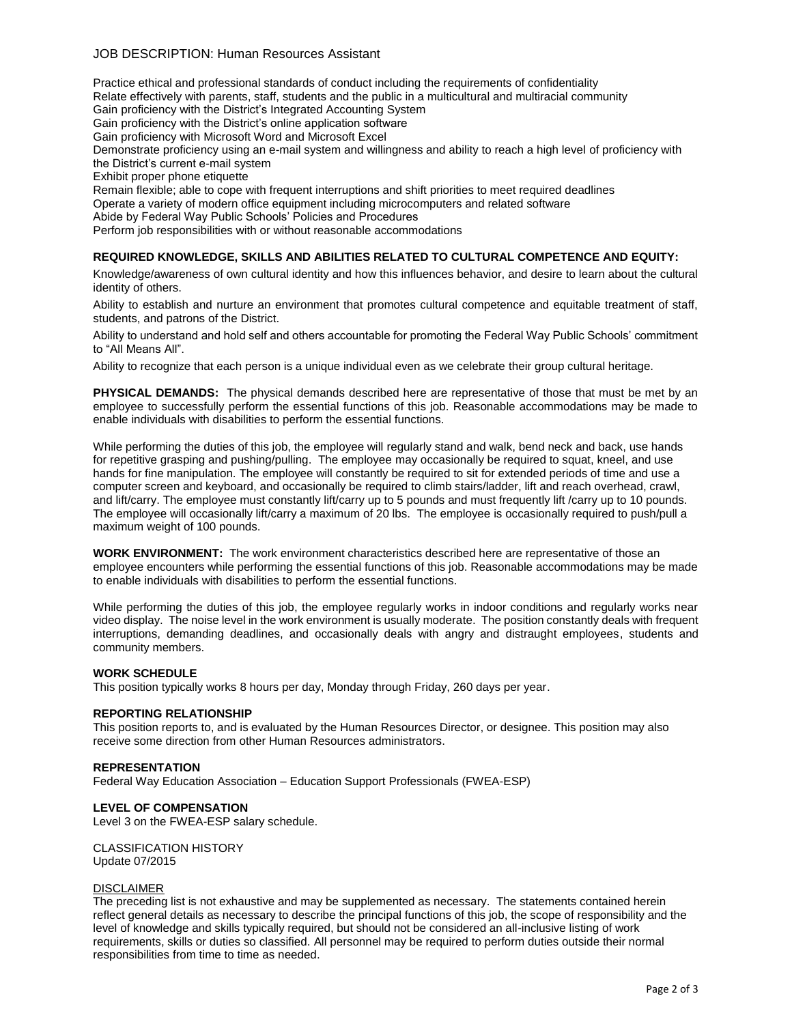## JOB DESCRIPTION: Human Resources Assistant

Practice ethical and professional standards of conduct including the requirements of confidentiality Relate effectively with parents, staff, students and the public in a multicultural and multiracial community Gain proficiency with the District's Integrated Accounting System Gain proficiency with the District's online application software Gain proficiency with Microsoft Word and Microsoft Excel Demonstrate proficiency using an e-mail system and willingness and ability to reach a high level of proficiency with the District's current e-mail system Exhibit proper phone etiquette Remain flexible; able to cope with frequent interruptions and shift priorities to meet required deadlines Operate a variety of modern office equipment including microcomputers and related software Abide by Federal Way Public Schools' Policies and Procedures

Perform job responsibilities with or without reasonable accommodations

## **REQUIRED KNOWLEDGE, SKILLS AND ABILITIES RELATED TO CULTURAL COMPETENCE AND EQUITY:**

Knowledge/awareness of own cultural identity and how this influences behavior, and desire to learn about the cultural identity of others.

Ability to establish and nurture an environment that promotes cultural competence and equitable treatment of staff, students, and patrons of the District.

Ability to understand and hold self and others accountable for promoting the Federal Way Public Schools' commitment to "All Means All".

Ability to recognize that each person is a unique individual even as we celebrate their group cultural heritage.

**PHYSICAL DEMANDS:** The physical demands described here are representative of those that must be met by an employee to successfully perform the essential functions of this job. Reasonable accommodations may be made to enable individuals with disabilities to perform the essential functions.

While performing the duties of this job, the employee will regularly stand and walk, bend neck and back, use hands for repetitive grasping and pushing/pulling. The employee may occasionally be required to squat, kneel, and use hands for fine manipulation. The employee will constantly be required to sit for extended periods of time and use a computer screen and keyboard, and occasionally be required to climb stairs/ladder, lift and reach overhead, crawl, and lift/carry. The employee must constantly lift/carry up to 5 pounds and must frequently lift /carry up to 10 pounds. The employee will occasionally lift/carry a maximum of 20 lbs. The employee is occasionally required to push/pull a maximum weight of 100 pounds.

**WORK ENVIRONMENT:** The work environment characteristics described here are representative of those an employee encounters while performing the essential functions of this job. Reasonable accommodations may be made to enable individuals with disabilities to perform the essential functions.

While performing the duties of this job, the employee regularly works in indoor conditions and regularly works near video display. The noise level in the work environment is usually moderate. The position constantly deals with frequent interruptions, demanding deadlines, and occasionally deals with angry and distraught employees, students and community members.

#### **WORK SCHEDULE**

This position typically works 8 hours per day, Monday through Friday, 260 days per year.

#### **REPORTING RELATIONSHIP**

This position reports to, and is evaluated by the Human Resources Director, or designee. This position may also receive some direction from other Human Resources administrators.

#### **REPRESENTATION**

Federal Way Education Association – Education Support Professionals (FWEA-ESP)

#### **LEVEL OF COMPENSATION**

Level 3 on the FWEA-ESP salary schedule.

CLASSIFICATION HISTORY Update 07/2015

#### DISCLAIMER

The preceding list is not exhaustive and may be supplemented as necessary. The statements contained herein reflect general details as necessary to describe the principal functions of this job, the scope of responsibility and the level of knowledge and skills typically required, but should not be considered an all-inclusive listing of work requirements, skills or duties so classified. All personnel may be required to perform duties outside their normal responsibilities from time to time as needed.